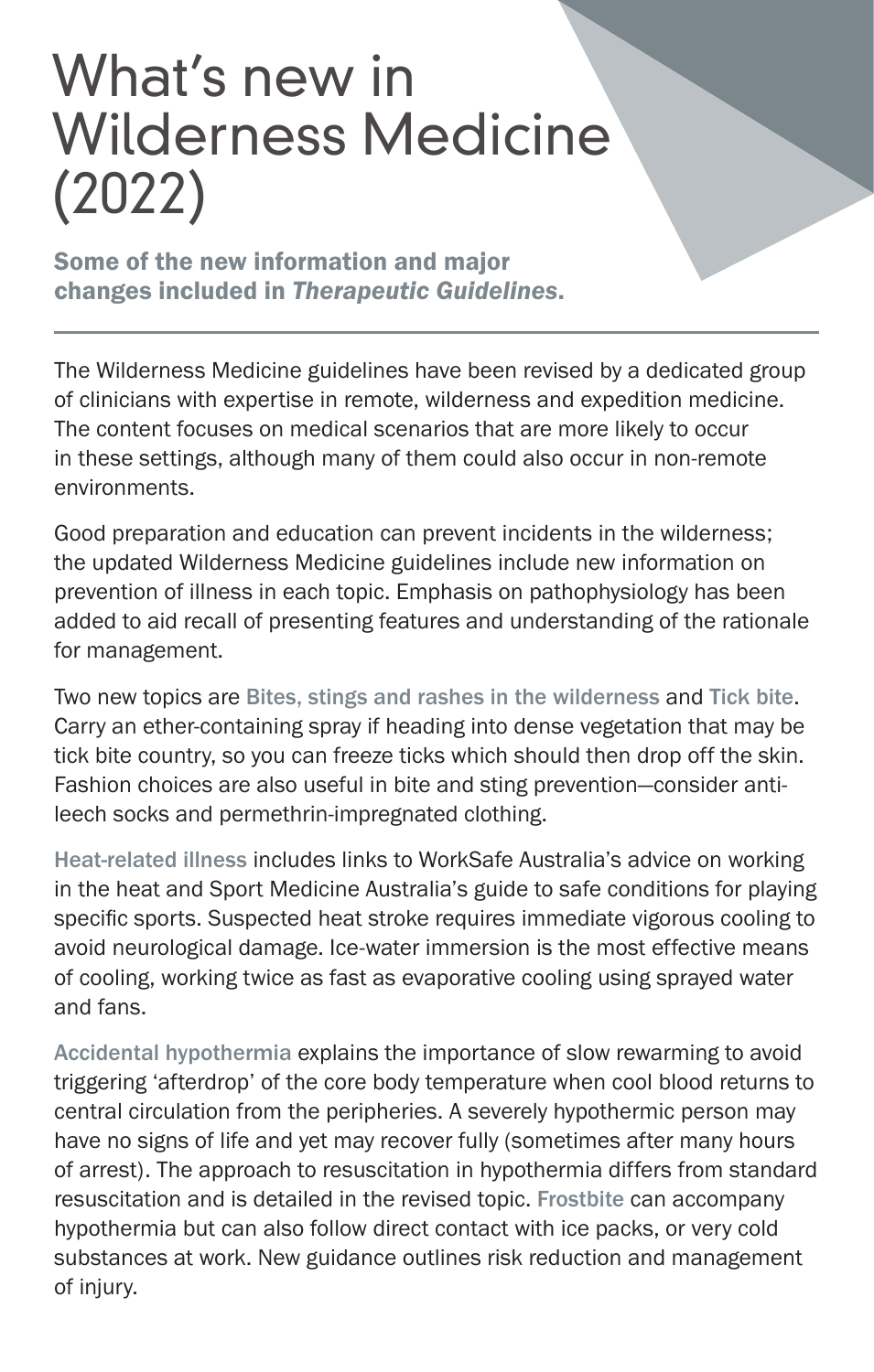## What's new in Wilderness Medicine (2022)

Some of the new information and major changes included in *Therapeutic Guidelines*.

The Wilderness Medicine guidelines have been revised by a dedicated group of clinicians with expertise in remote, wilderness and expedition medicine. The content focuses on medical scenarios that are more likely to occur in these settings, although many of them could also occur in non-remote environments.

Good preparation and education can prevent incidents in the wilderness; the updated Wilderness Medicine guidelines include new information on prevention of illness in each topic. Emphasis on pathophysiology has been added to aid recall of presenting features and understanding of the rationale for management.

Two new topics are Bites, stings and rashes in the wilderness and Tick bite. Carry an ether-containing spray if heading into dense vegetation that may be tick bite country, so you can freeze ticks which should then drop off the skin. Fashion choices are also useful in bite and sting prevention—consider antileech socks and permethrin-impregnated clothing.

Heat-related illness includes links to WorkSafe Australia's advice on working in the heat and Sport Medicine Australia's guide to safe conditions for playing specific sports. Suspected heat stroke requires immediate vigorous cooling to avoid neurological damage. Ice-water immersion is the most effective means of cooling, working twice as fast as evaporative cooling using sprayed water and fans.

Accidental hypothermia explains the importance of slow rewarming to avoid triggering 'afterdrop' of the core body temperature when cool blood returns to central circulation from the peripheries. A severely hypothermic person may have no signs of life and yet may recover fully (sometimes after many hours of arrest). The approach to resuscitation in hypothermia differs from standard resuscitation and is detailed in the revised topic. Frostbite can accompany hypothermia but can also follow direct contact with ice packs, or very cold substances at work. New guidance outlines risk reduction and management of injury.